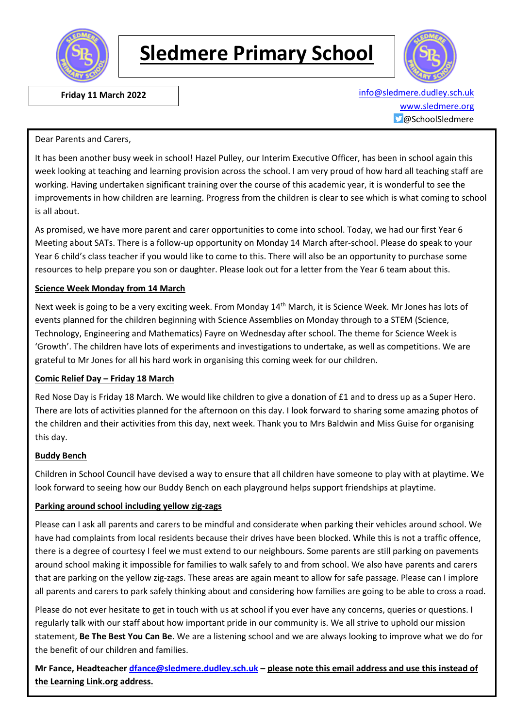

# **Sledmere Primary School**



 **Friday 11 March 2022** [info@sledmere.dudley.sch.uk](mailto:info@sledmere.dudley.sch.uk) [www.sledmere.org](http://www.sledmere.org/)  $\Box$ @SchoolSledmere

### Dear Parents and Carers,

It has been another busy week in school! Hazel Pulley, our Interim Executive Officer, has been in school again this week looking at teaching and learning provision across the school. I am very proud of how hard all teaching staff are working. Having undertaken significant training over the course of this academic year, it is wonderful to see the improvements in how children are learning. Progress from the children is clear to see which is what coming to school is all about.

As promised, we have more parent and carer opportunities to come into school. Today, we had our first Year 6 Meeting about SATs. There is a follow-up opportunity on Monday 14 March after-school. Please do speak to your Year 6 child's class teacher if you would like to come to this. There will also be an opportunity to purchase some resources to help prepare you son or daughter. Please look out for a letter from the Year 6 team about this.

### **Science Week Monday from 14 March**

Next week is going to be a very exciting week. From Monday 14<sup>th</sup> March, it is Science Week. Mr Jones has lots of events planned for the children beginning with Science Assemblies on Monday through to a STEM (Science, Technology, Engineering and Mathematics) Fayre on Wednesday after school. The theme for Science Week is 'Growth'. The children have lots of experiments and investigations to undertake, as well as competitions. We are grateful to Mr Jones for all his hard work in organising this coming week for our children.

### **Comic Relief Day – Friday 18 March**

Red Nose Day is Friday 18 March. We would like children to give a donation of £1 and to dress up as a Super Hero. There are lots of activities planned for the afternoon on this day. I look forward to sharing some amazing photos of the children and their activities from this day, next week. Thank you to Mrs Baldwin and Miss Guise for organising this day.

### **Buddy Bench**

Children in School Council have devised a way to ensure that all children have someone to play with at playtime. We look forward to seeing how our Buddy Bench on each playground helps support friendships at playtime.

### **Parking around school including yellow zig-zags**

Please can I ask all parents and carers to be mindful and considerate when parking their vehicles around school. We have had complaints from local residents because their drives have been blocked. While this is not a traffic offence, there is a degree of courtesy I feel we must extend to our neighbours. Some parents are still parking on pavements around school making it impossible for families to walk safely to and from school. We also have parents and carers that are parking on the yellow zig-zags. These areas are again meant to allow for safe passage. Please can I implore all parents and carers to park safely thinking about and considering how families are going to be able to cross a road.

Please do not ever hesitate to get in touch with us at school if you ever have any concerns, queries or questions. I regularly talk with our staff about how important pride in our community is. We all strive to uphold our mission statement, **Be The Best You Can Be**. We are a listening school and we are always looking to improve what we do for the benefit of our children and families.

**Mr Fance, Headteacher [dfance@sledmere.dudley.sch.uk](mailto:dfance@sledmere.dudley.sch.uk) – please note this email address and use this instead of the Learning Link.org address.**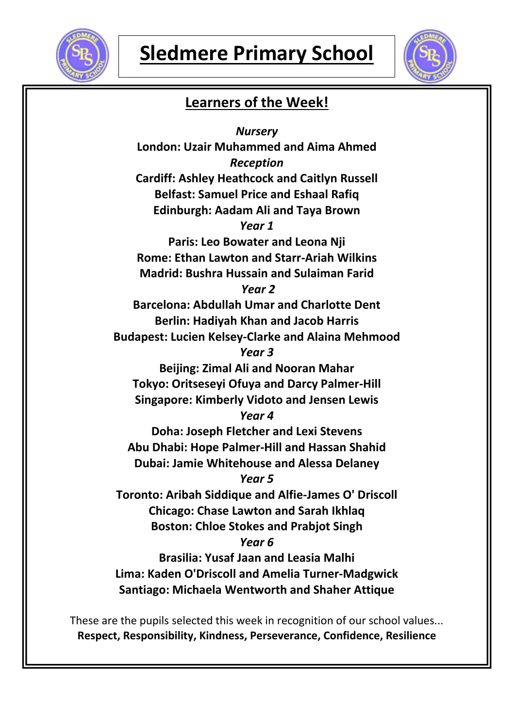



# **Learners of the Week!**

*Nursery* **London: Uzair Muhammed and Aima Ahmed** *Reception* **Cardiff: Ashley Heathcock and Caitlyn Russell Belfast: Samuel Price and Eshaal Rafiq Edinburgh: Aadam Ali and Taya Brown** *Year 1* **Paris: Leo Bowater and Leona Nji Rome: Ethan Lawton and Starr-Ariah Wilkins Madrid: Bushra Hussain and Sulaiman Farid** *Year 2* **Barcelona: Abdullah Umar and Charlotte Dent Berlin: Hadiyah Khan and Jacob Harris Budapest: Lucien Kelsey-Clarke and Alaina Mehmood** *Year 3* **Beijing: Zimal Ali and Nooran Mahar Tokyo: Oritseseyi Ofuya and Darcy Palmer-Hill Singapore: Kimberly Vidoto and Jensen Lewis** *Year 4* **Doha: Joseph Fletcher and Lexi Stevens Abu Dhabi: Hope Palmer-Hill and Hassan Shahid Dubai: Jamie Whitehouse and Alessa Delaney** *Year 5* **Toronto: Aribah Siddique and Alfie-James O' Driscoll Chicago: Chase Lawton and Sarah Ikhlaq Boston: Chloe Stokes and Prabjot Singh** *Year 6* **Brasilia: Yusaf Jaan and Leasia Malhi**

**Lima: Kaden O'Driscoll and Amelia Turner-Madgwick Santiago: Michaela Wentworth and Shaher Attique**

These are the pupils selected this week in recognition of our school values... **Respect, Responsibility, Kindness, Perseverance, Confidence, Resilience**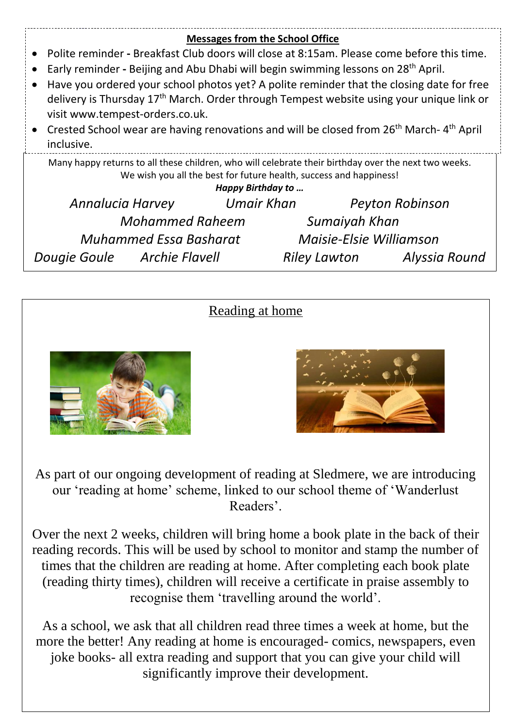| <b>Messages from the School Office</b><br>Polite reminder - Breakfast Club doors will close at 8:15am. Please come before this time.                                                                                                 |                   |                        |  |  |
|--------------------------------------------------------------------------------------------------------------------------------------------------------------------------------------------------------------------------------------|-------------------|------------------------|--|--|
| Early reminder - Beijing and Abu Dhabi will begin swimming lessons on 28 <sup>th</sup> April.                                                                                                                                        |                   |                        |  |  |
| Have you ordered your school photos yet? A polite reminder that the closing date for free<br>delivery is Thursday 17 <sup>th</sup> March. Order through Tempest website using your unique link or<br>visit www.tempest-orders.co.uk. |                   |                        |  |  |
| Crested School wear are having renovations and will be closed from 26 <sup>th</sup> March-4 <sup>th</sup> April<br>inclusive.                                                                                                        |                   |                        |  |  |
| Many happy returns to all these children, who will celebrate their birthday over the next two weeks.<br>We wish you all the best for future health, success and happiness!                                                           |                   |                        |  |  |
| Happy Birthday to                                                                                                                                                                                                                    |                   |                        |  |  |
| Annalucia Harvey                                                                                                                                                                                                                     | <b>Umair Khan</b> | <b>Peyton Robinson</b> |  |  |
| <b>Mohammed Raheem</b><br>Sumaiyah Khan                                                                                                                                                                                              |                   |                        |  |  |
| Maisie-Elsie Williamson<br><b>Muhammed Essa Basharat</b>                                                                                                                                                                             |                   |                        |  |  |
| Dougie Goule Archie Flavell                                                                                                                                                                                                          | Riley Lawton      | Alyssia Round          |  |  |

## Reading at home





As part of our ongoing development of reading at Sledmere, we are introducing our 'reading at home' scheme, linked to our school theme of 'Wanderlust Readers'.

Over the next 2 weeks, children will bring home a book plate in the back of their reading records. This will be used by school to monitor and stamp the number of times that the children are reading at home. After completing each book plate (reading thirty times), children will receive a certificate in praise assembly to recognise them 'travelling around the world'.

As a school, we ask that all children read three times a week at home, but the more the better! Any reading at home is encouraged- comics, newspapers, even joke books- all extra reading and support that you can give your child will significantly improve their development.